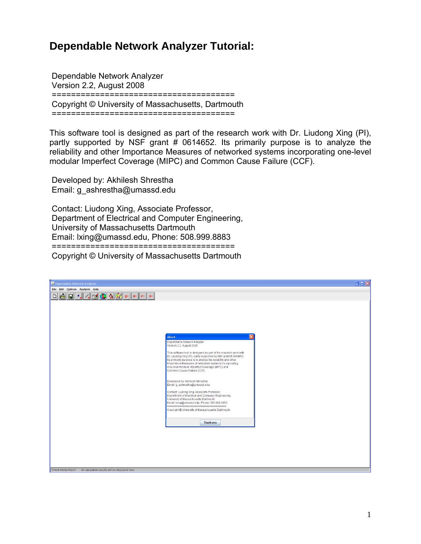## **Dependable Network Analyzer Tutorial:**

 Dependable Network Analyzer Version 2.2, August 2008 ====================================== Copyright © University of Massachusetts, Dartmouth ======================================

This software tool is designed as part of the research work with Dr. Liudong Xing (PI), partly supported by NSF grant # 0614652. Its primarily purpose is to analyze the reliability and other Importance Measures of networked systems incorporating one-level modular Imperfect Coverage (MIPC) and Common Cause Failure (CCF).

 Developed by: Akhilesh Shrestha Email: g\_ashrestha@umassd.edu

 Contact: Liudong Xing, Associate Professor, Department of Electrical and Computer Engineering, University of Massachusetts Dartmouth Email: lxing@umassd.edu, Phone: 508.999.8883 ====================================== Copyright © University of Massachusetts Dartmouth

| Dependable Network Analyzer                                           | $\Box$ DIX                                                                                                                                                                                                                                                                                                                                       |
|-----------------------------------------------------------------------|--------------------------------------------------------------------------------------------------------------------------------------------------------------------------------------------------------------------------------------------------------------------------------------------------------------------------------------------------|
| File Add Options Analysis Help                                        |                                                                                                                                                                                                                                                                                                                                                  |
|                                                                       |                                                                                                                                                                                                                                                                                                                                                  |
|                                                                       |                                                                                                                                                                                                                                                                                                                                                  |
|                                                                       | $\overline{\mathsf{x}}$                                                                                                                                                                                                                                                                                                                          |
|                                                                       | <b>About</b><br>Dependable Network Analyzer<br>Version 2.2, August 2008                                                                                                                                                                                                                                                                          |
|                                                                       | This software tool is designed as part of the research work with<br>Dr. Liudong Xing (PI), partly supported by NSF grant # 0614652.<br>Its primarily purpose is to analyze the reliability and other<br>Importance Measures of networked systems incorporating<br>one-level modular Imperfect Coverage (MIPC) and<br>Common Cause Failure (CCF). |
|                                                                       | Developed by: Akhilesh Shrestha<br>Email: g_ashrestha@umassd.edu                                                                                                                                                                                                                                                                                 |
|                                                                       | Contact: Liudong Xing, Associate Professor,<br>Department of Electrical and Computer Engineering,<br>University of Massachusetts Dartmouth<br>Email: bing@umassd.edu, Phone: 508.999.8883                                                                                                                                                        |
|                                                                       | Copyright @ University of Massachusetts Dartmouth                                                                                                                                                                                                                                                                                                |
|                                                                       | Thank you                                                                                                                                                                                                                                                                                                                                        |
|                                                                       |                                                                                                                                                                                                                                                                                                                                                  |
|                                                                       |                                                                                                                                                                                                                                                                                                                                                  |
|                                                                       |                                                                                                                                                                                                                                                                                                                                                  |
|                                                                       |                                                                                                                                                                                                                                                                                                                                                  |
| All calculation results will be displayed here<br>Check Status Here!! |                                                                                                                                                                                                                                                                                                                                                  |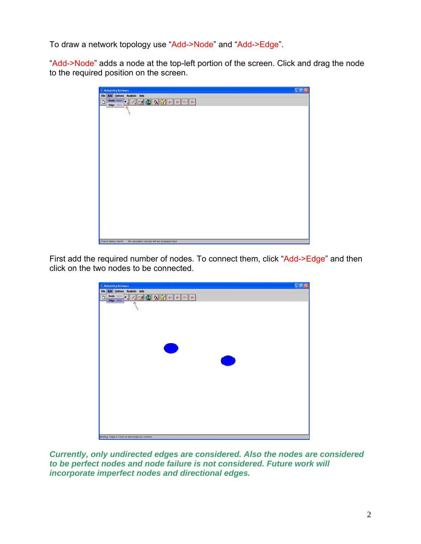To draw a network topology use "Add->Node" and "Add->Edge".

"Add->Node" adds a node at the top-left portion of the screen. Click and drag the node to the required position on the screen.

| <b>E</b> Reliability Software  | EFE                                            |
|--------------------------------|------------------------------------------------|
| File Add Options Analysis Help |                                                |
| $\Box$<br>Edge this            | Node Caso  4 3 1 1 3 3 0 0 5 c 5               |
|                                |                                                |
|                                |                                                |
|                                |                                                |
|                                |                                                |
|                                |                                                |
|                                |                                                |
|                                |                                                |
|                                |                                                |
|                                |                                                |
|                                |                                                |
|                                |                                                |
|                                |                                                |
|                                |                                                |
|                                |                                                |
| Check Status Herell            | All calculation results will be displayed here |

First add the required number of nodes. To connect them, click "Add->Edge" and then click on the two nodes to be connected.

| <b>E</b> Reliability Software                               |   | CFIX |
|-------------------------------------------------------------|---|------|
| File Add Options Analysis Help                              |   |      |
| Node Chip  4 2 1 3 3 2 2 3 3 4 5 6 8<br>$\Box$<br>Edge case |   |      |
|                                                             |   |      |
|                                                             |   |      |
|                                                             |   |      |
|                                                             |   |      |
|                                                             |   |      |
|                                                             |   |      |
|                                                             |   |      |
| Œ                                                           |   |      |
|                                                             |   |      |
|                                                             | O |      |
|                                                             |   |      |
|                                                             |   |      |
|                                                             |   |      |
|                                                             |   |      |
|                                                             |   |      |
|                                                             |   |      |
|                                                             |   |      |
|                                                             |   |      |
|                                                             |   |      |
|                                                             |   |      |
|                                                             |   |      |
| Adding: Edge 0 Click on two nodes to connect                |   |      |

*Currently, only undirected edges are considered. Also the nodes are considered to be perfect nodes and node failure is not considered. Future work will incorporate imperfect nodes and directional edges.*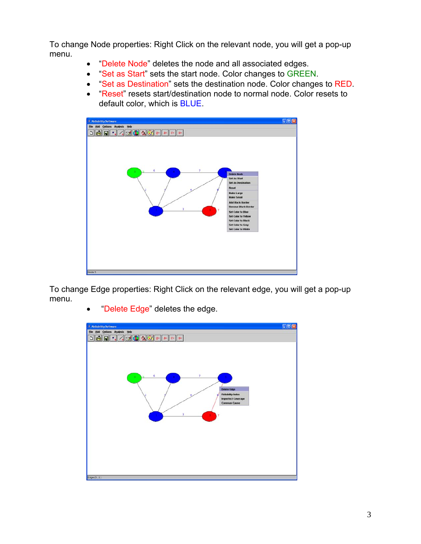To change Node properties: Right Click on the relevant node, you will get a pop-up menu.

- "Delete Node" deletes the node and all associated edges.
- "Set as Start" sets the start node. Color changes to GREEN.
- "Set as Destination" sets the destination node. Color changes to RED.
- "Reset" resets start/destination node to normal node. Color resets to default color, which is BLUE.



To change Edge properties: Right Click on the relevant edge, you will get a pop-up menu.



"Delete Edge" deletes the edge.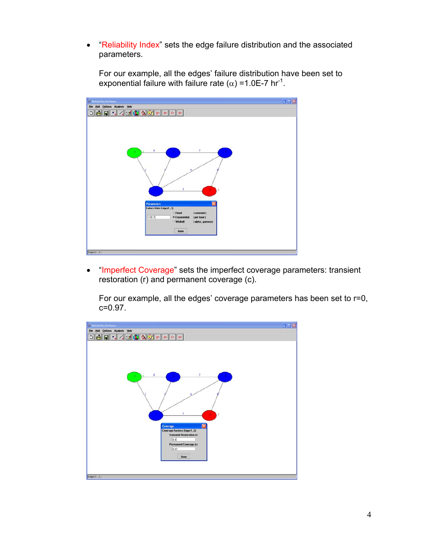• "Reliability Index" sets the edge failure distribution and the associated parameters.

For our example, all the edges' failure distribution have been set to exponential failure with failure rate ( $\alpha$ ) =1.0E-7 hr<sup>-1</sup>.



• "Imperfect Coverage" sets the imperfect coverage parameters: transient restoration (r) and permanent coverage (c).

For our example, all the edges' coverage parameters has been set to r=0, c=0.97.

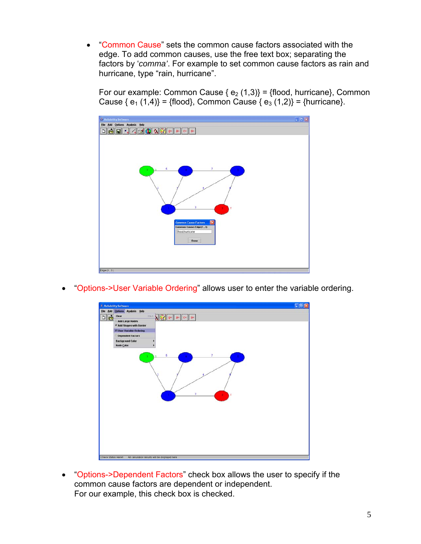• "Common Cause" sets the common cause factors associated with the edge. To add common causes, use the free text box; separating the factors by '*comma'*. For example to set common cause factors as rain and hurricane, type "rain, hurricane".

For our example: Common Cause { $e_2$  (1,3)} = {flood, hurricane}, Common Cause  $\{e_1 (1,4)\} = \{f |ood\}$ , Common Cause  $\{e_3 (1,2)\} = \{hurricane\}$ .



• "Options->User Variable Ordering" allows user to enter the variable ordering.



• "Options->Dependent Factors" check box allows the user to specify if the common cause factors are dependent or independent. For our example, this check box is checked.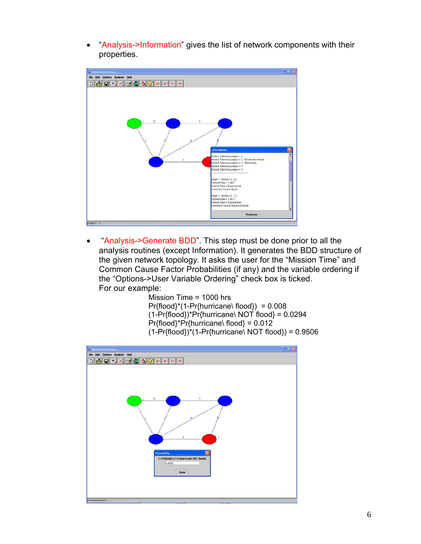• "Analysis->Information" gives the list of network components with their properties.



• "Analysis->Generate BDD". This step must be done prior to all the analysis routines (except Information). It generates the BDD structure of the given network topology. It asks the user for the "Mission Time" and Common Cause Factor Probabilities (if any) and the variable ordering if the "Options->User Variable Ordering" check box is ticked. For our example:

Mission Time = 1000 hrs  $Pr{flood}^*(1-Pr{hurricane}$  flood}) = 0.008 (1-Pr{flood})\*Pr{hurricane\ NOT flood} = 0.0294 Pr{flood}\*Pr{hurricane\ flood} = 0.012  $(1-Pr{flood})*(1-Pr{hurricane}\ NOT{flood}) = 0.9506$ 

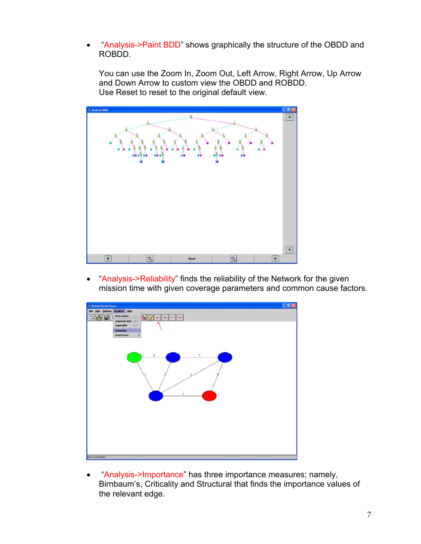• "Analysis->Paint BDD" shows graphically the structure of the OBDD and ROBDD.

You can use the Zoom In, Zoom Out, Left Arrow, Right Arrow, Up Arrow and Down Arrow to custom view the OBDD and ROBDD. Use Reset to reset to the original default view.



• "Analysis->Reliability" finds the reliability of the Network for the given mission time with given coverage parameters and common cause factors.



• "Analysis->Importance" has three importance measures; namely, Birnbaum's, Criticality and Structural that finds the importance values of the relevant edge.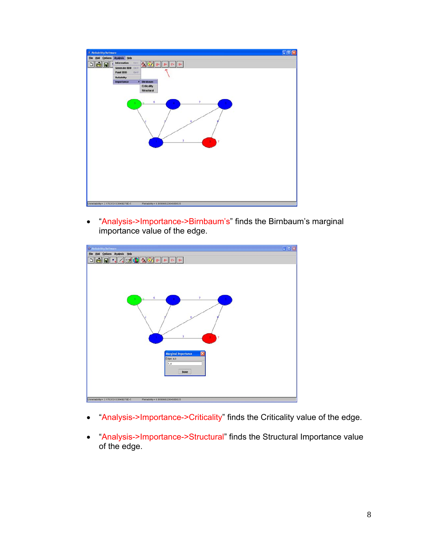

• "Analysis->Importance->Birnbaum's" finds the Birnbaum's marginal importance value of the edge.



- "Analysis->Importance->Criticality" finds the Criticality value of the edge.
- "Analysis->Importance->Structural" finds the Structural Importance value of the edge.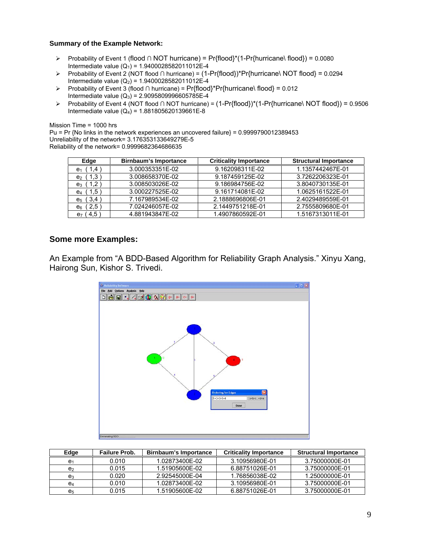## **Summary of the Example Network:**

- ¾ Probability of Event 1 (flood ∩ NOT hurricane) = Pr{flood}\*(1-Pr{hurricane\ flood}) = 0.0080 Intermediate value ( $Q_1$ ) = 1.9400028582011012E-4
- ¾ Probability of Event 2 (NOT flood ∩ hurricane) = (1-Pr{flood})\*Pr{hurricane\ NOT flood} = 0.0294 Intermediate value  $(Q_2)$  = 1.9400028582011012E-4
- ¾ Probability of Event 3 (flood ∩ hurricane) = Pr{flood}\*Pr{hurricane\ flood} = 0.012 Intermediate value  $(Q_3)$  = 2.9095809996605785E-4
- ¾ Probability of Event 4 (NOT flood ∩ NOT hurricane) = (1-Pr{flood})\*(1-Pr{hurricane\ NOT flood}) = 0.9506 Intermediate value  $(Q_4) = 1.881805620139661E-8$

Mission Time = 1000 hrs

Pu = Pr {No links in the network experiences an uncovered failure} = 0.9999790012389453 Unreliability of the network= 3.176353133649279E-5 Reliability of the network= 0.9999682364686635

| Edge                 | Birnbaum's Importance | <b>Criticality Importance</b> | <b>Structural Importance</b> |
|----------------------|-----------------------|-------------------------------|------------------------------|
| $e_1$ (1.4           | 3.000353351E-02       | 9.162098311E-02               | 1.1357442467E-01             |
| $e_2$ (1,3)          | 3.008658370E-02       | 9.187459125E-02               | 3.7262206323E-01             |
| $e_3$ (1,2)          | 3.008503026E-02       | 9.186984756E-02               | 3.8040730135E-01             |
| e <sub>4</sub> (1,5) | 3.000227525E-02       | 9.161714081E-02               | 1.0625161522E-01             |
| $e_5$ (3,4           | 7.167989534E-02       | 2.1888696806E-01              | 2.4029489559E-01             |
| $e_6$ (2,5)          | 7.024246057E-02       | 2.1449751218E-01              | 2.7555809680E-01             |
| $e_7$ (4,5           | 4.881943847E-02       | 1.4907860592E-01              | 1.5167313011E-01             |

## **Some more Examples:**

An Example from "A BDD-Based Algorithm for Reliability Graph Analysis." Xinyu Xang, Hairong Sun, Kishor S. Trivedi.



| Edge           | Failure Prob. | Birnbaum's Importance | <b>Criticality Importance</b> | <b>Structural Importance</b> |
|----------------|---------------|-----------------------|-------------------------------|------------------------------|
| e,             | 0.010         | 1.02873400F-02        | 3.10956980E-01                | 3.75000000E-01               |
| e,             | 0.015         | 1.51905600F-02        | 6.88751026E-01                | 3.75000000E-01               |
| $e_3$          | 0.020         | 2.92545000E-04        | 1.76856038E-02                | 1.25000000E-01               |
| e4             | 0.010         | 1.02873400E-02        | 3.10956980E-01                | 3.75000000E-01               |
| e <sub>5</sub> | 0.015         | 1.51905600E-02        | 6.88751026E-01                | 3.75000000E-01               |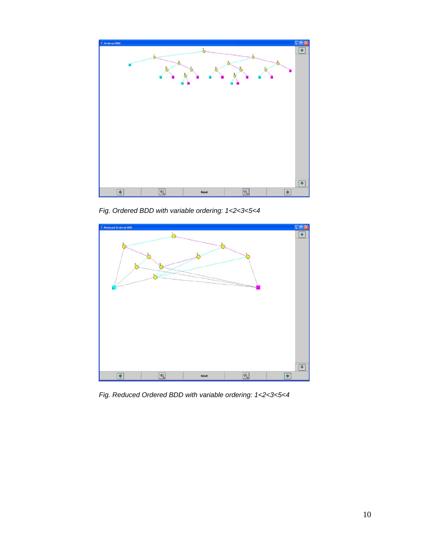

*Fig. Ordered BDD with variable ordering: 1<2<3<5<4* 



 *Fig. Reduced Ordered BDD with variable ordering: 1<2<3<5<4*